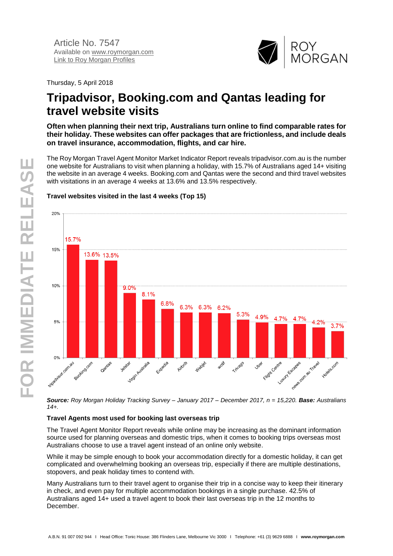

Thursday, 5 April 2018

# **Tripadvisor, Booking.com and Qantas leading for travel website visits**

**Often when planning their next trip, Australians turn online to find comparable rates for their holiday. These websites can offer packages that are frictionless, and include deals on travel insurance, accommodation, flights, and car hire.**

The Roy Morgan Travel Agent Monitor Market Indicator Report reveals tripadvisor.com.au is the number one website for Australians to visit when planning a holiday, with 15.7% of Australians aged 14+ visiting the website in an average 4 weeks. Booking.com and Qantas were the second and third travel websites with visitations in an average 4 weeks at 13.6% and 13.5% respectively.

#### 20% 15.7% 15% 13.6% 13.5% 10% 9.0% 8.1% 6.8% 6.3% 6.3% 6.2% 5.3% 4.9% 4.7% 4.7%  $5%$ 4.2%  $3.7%$  $0%$ Lutury Escapes cr restate company of rate civealisation of Filidit Centre slight Nustralia Booking.com **WON'S** Jetster **Hotels.com** Gantas E-región Ailbrito Weblet Trivago **José**

## **Travel websites visited in the last 4 weeks (Top 15)**

*Source: Roy Morgan Holiday Tracking Survey – January 2017 – December 2017, n = 15,220. Base: Australians 14+.*

#### **Travel Agents most used for booking last overseas trip**

The Travel Agent Monitor Report reveals while online may be increasing as the dominant information source used for planning overseas and domestic trips, when it comes to booking trips overseas most Australians choose to use a travel agent instead of an online only website.

While it may be simple enough to book your accommodation directly for a domestic holiday, it can get complicated and overwhelming booking an overseas trip, especially if there are multiple destinations, stopovers, and peak holiday times to contend with.

Many Australians turn to their travel agent to organise their trip in a concise way to keep their itinerary in check, and even pay for multiple accommodation bookings in a single purchase. 42.5% of Australians aged 14+ used a travel agent to book their last overseas trip in the 12 months to December.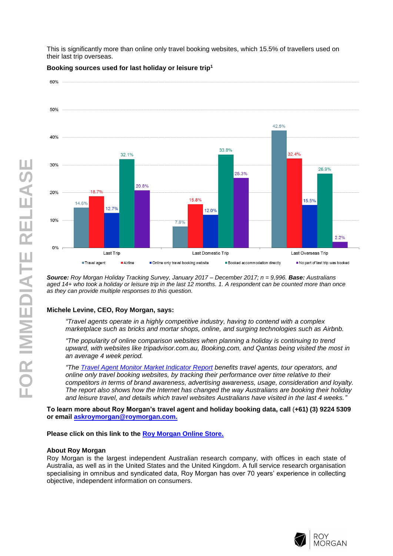This is significantly more than online only travel booking websites, which 15.5% of travellers used on their last trip overseas.



**Booking sources used for last holiday or leisure trip<sup>1</sup>**

*Source: Roy Morgan Holiday Tracking Survey, January 2017 – December 2017; n = 9,996. Base: Australians aged 14+ who took a holiday or leisure trip in the last 12 months. 1. A respondent can be counted more than once as they can provide multiple responses to this question.*

#### **Michele Levine, CEO, Roy Morgan, says:**

*"Travel agents operate in a highly competitive industry, having to contend with a complex marketplace such as bricks and mortar shops, online, and surging technologies such as Airbnb.*

*"The popularity of online comparison websites when planning a holiday is continuing to trend upward, with websites like tripadvisor.com.au, Booking.com, and Qantas being visited the most in an average 4 week period.*

*"The [Travel Agent Monitor Market Indicator Report](http://www.roymorganonlinestore.com/Browse/Australia/Travel-and-Tourism/Travel-Agent-and-Holiday-Booking-Reports.aspx) benefits travel agents, tour operators, and online only travel booking websites, by tracking their performance over time relative to their competitors in terms of brand awareness, advertising awareness, usage, consideration and loyalty. The report also shows how the Internet has changed the way Australians are booking their holiday and leisure travel, and details which travel websites Australians have visited in the last 4 weeks."*

**To learn more about Roy Morgan's travel agent and holiday booking data, call** (**+61) (3) 9224 5309 or email [askroymorgan@roymorgan.com.](mailto:askroymorgan@roymorgan.com)**

**Please click on this link to the [Roy Morgan Online Store.](http://www.roymorganonlinestore.com/)**

#### **About Roy Morgan**

Roy Morgan is the largest independent Australian research company, with offices in each state of Australia, as well as in the United States and the United Kingdom. A full service research organisation specialising in omnibus and syndicated data, Roy Morgan has over 70 years' experience in collecting objective, independent information on consumers.